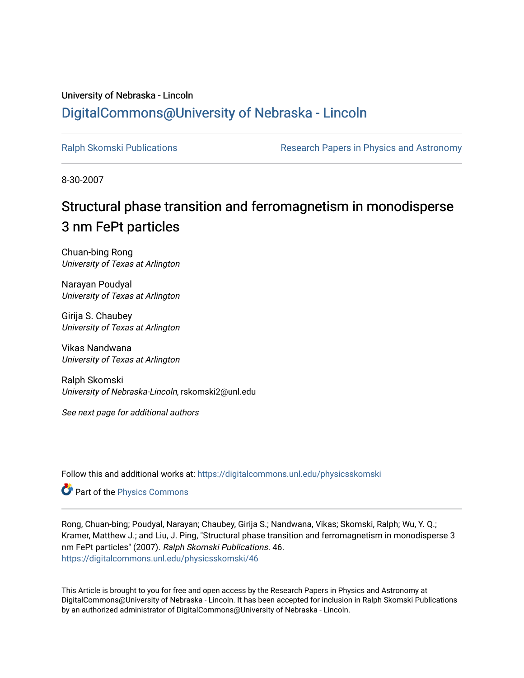## University of Nebraska - Lincoln [DigitalCommons@University of Nebraska - Lincoln](https://digitalcommons.unl.edu/)

[Ralph Skomski Publications](https://digitalcommons.unl.edu/physicsskomski) The Research Papers in Physics and Astronomy

8-30-2007

# Structural phase transition and ferromagnetism in monodisperse 3 nm FePt particles

Chuan-bing Rong University of Texas at Arlington

Narayan Poudyal University of Texas at Arlington

Girija S. Chaubey University of Texas at Arlington

Vikas Nandwana University of Texas at Arlington

Ralph Skomski University of Nebraska-Lincoln, rskomski2@unl.edu

See next page for additional authors

Follow this and additional works at: [https://digitalcommons.unl.edu/physicsskomski](https://digitalcommons.unl.edu/physicsskomski?utm_source=digitalcommons.unl.edu%2Fphysicsskomski%2F46&utm_medium=PDF&utm_campaign=PDFCoverPages) 

Part of the [Physics Commons](http://network.bepress.com/hgg/discipline/193?utm_source=digitalcommons.unl.edu%2Fphysicsskomski%2F46&utm_medium=PDF&utm_campaign=PDFCoverPages)

Rong, Chuan-bing; Poudyal, Narayan; Chaubey, Girija S.; Nandwana, Vikas; Skomski, Ralph; Wu, Y. Q.; Kramer, Matthew J.; and Liu, J. Ping, "Structural phase transition and ferromagnetism in monodisperse 3 nm FePt particles" (2007). Ralph Skomski Publications. 46. [https://digitalcommons.unl.edu/physicsskomski/46](https://digitalcommons.unl.edu/physicsskomski/46?utm_source=digitalcommons.unl.edu%2Fphysicsskomski%2F46&utm_medium=PDF&utm_campaign=PDFCoverPages)

This Article is brought to you for free and open access by the Research Papers in Physics and Astronomy at DigitalCommons@University of Nebraska - Lincoln. It has been accepted for inclusion in Ralph Skomski Publications by an authorized administrator of DigitalCommons@University of Nebraska - Lincoln.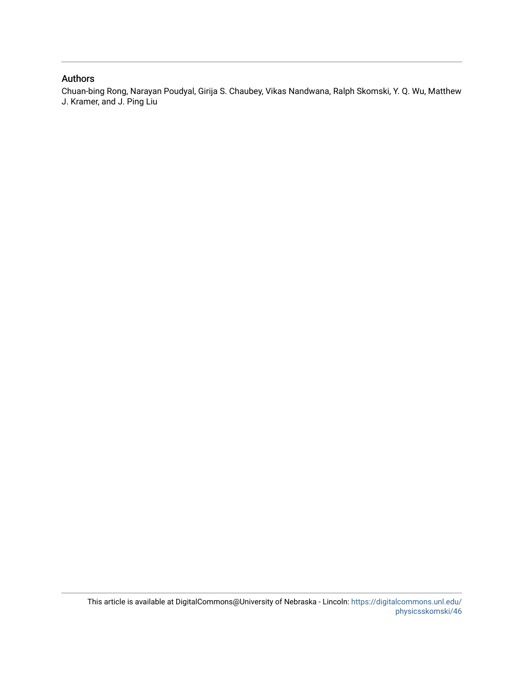### Authors

Chuan-bing Rong, Narayan Poudyal, Girija S. Chaubey, Vikas Nandwana, Ralph Skomski, Y. Q. Wu, Matthew J. Kramer, and J. Ping Liu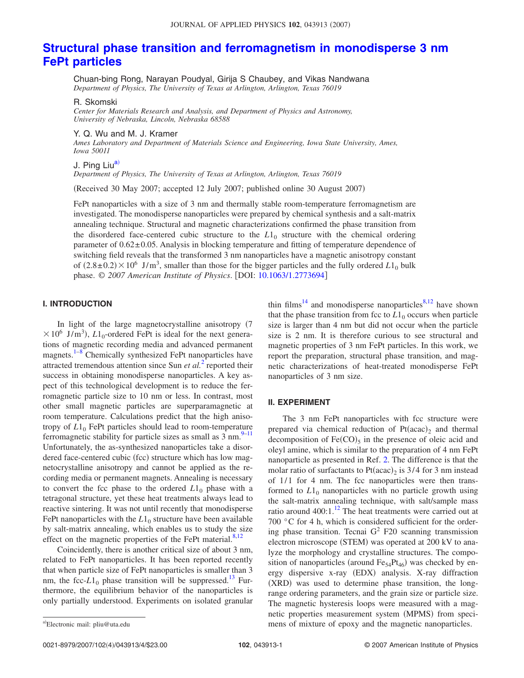## **[Structural phase transition and ferromagnetism in monodisperse 3 nm](http://dx.doi.org/10.1063/1.2773694) [FePt particles](http://dx.doi.org/10.1063/1.2773694)**

Chuan-bing Rong, Narayan Poudyal, Girija S Chaubey, and Vikas Nandwana *Department of Physics, The University of Texas at Arlington, Arlington, Texas 76019*

R. Skomski

*Center for Materials Research and Analysis, and Department of Physics and Astronomy, University of Nebraska, Lincoln, Nebraska 68588*

#### Y. Q. Wu and M. J. Kramer

*Ames Laboratory and Department of Materials Science and Engineering, Iowa State University, Ames, Iowa 50011*

#### J. Ping Liu<sup>a)</sup>

*Department of Physics, The University of Texas at Arlington, Arlington, Texas 76019*

Received 30 May 2007; accepted 12 July 2007; published online 30 August 2007-

FePt nanoparticles with a size of 3 nm and thermally stable room-temperature ferromagnetism are investigated. The monodisperse nanoparticles were prepared by chemical synthesis and a salt-matrix annealing technique. Structural and magnetic characterizations confirmed the phase transition from the disordered face-centered cubic structure to the  $L1_0$  structure with the chemical ordering parameter of  $0.62 \pm 0.05$ . Analysis in blocking temperature and fitting of temperature dependence of switching field reveals that the transformed 3 nm nanoparticles have a magnetic anisotropy constant of  $(2.8\pm 0.2) \times 10^6$  J/m<sup>3</sup>, smaller than those for the bigger particles and the fully ordered  $L1_0$  bulk phase. © 2007 American Institute of Physics. [DOI: [10.1063/1.2773694](http://dx.doi.org/10.1063/1.2773694)]

#### **I. INTRODUCTION**

In light of the large magnetocrystalline anisotropy  $(7)$  $\times 10^6$  J/m<sup>3</sup>),  $L1_0$ -ordered FePt is ideal for the next generations of magnetic recording media and advanced permanent magnets.<sup>1[–8](#page-5-1)</sup> Chemically synthesized FePt nanoparticles have attracted tremendous attention since Sun *et al.*[2](#page-5-2) reported their success in obtaining monodisperse nanoparticles. A key aspect of this technological development is to reduce the ferromagnetic particle size to 10 nm or less. In contrast, most other small magnetic particles are superparamagnetic at room temperature. Calculations predict that the high anisotropy of  $L1_0$  FePt particles should lead to room-temperature ferromagnetic stability for particle sizes as small as  $3 \text{ nm}$ .<sup>9[–11](#page-5-4)</sup> Unfortunately, the as-synthesized nanoparticles take a disordered face-centered cubic (fcc) structure which has low magnetocrystalline anisotropy and cannot be applied as the recording media or permanent magnets. Annealing is necessary to convert the fcc phase to the ordered  $L1_0$  phase with a tetragonal structure, yet these heat treatments always lead to reactive sintering. It was not until recently that monodisperse FePt nanoparticles with the  $L1_0$  structure have been available by salt-matrix annealing, which enables us to study the size effect on the magnetic properties of the FePt material. $8,12$  $8,12$ 

Coincidently, there is another critical size of about 3 nm, related to FePt nanoparticles. It has been reported recently that when particle size of FePt nanoparticles is smaller than 3 nm, the fcc- $L1_0$  phase transition will be suppressed.<sup>13</sup> Furthermore, the equilibrium behavior of the nanoparticles is only partially understood. Experiments on isolated granular thin films<sup>14</sup> and monodisperse nanoparticles<sup>8[,12](#page-5-5)</sup> have shown that the phase transition from fcc to  $L1_0$  occurs when particle size is larger than 4 nm but did not occur when the particle size is 2 nm. It is therefore curious to see structural and magnetic properties of 3 nm FePt particles. In this work, we report the preparation, structural phase transition, and magnetic characterizations of heat-treated monodisperse FePt nanoparticles of 3 nm size.

#### **II. EXPERIMENT**

The 3 nm FePt nanoparticles with fcc structure were prepared via chemical reduction of  $Pt(acc)_2$  and thermal decomposition of  $Fe(CO)_5$  in the presence of oleic acid and oleyl amine, which is similar to the preparation of 4 nm FePt nanoparticle as presented in Ref. [2.](#page-5-2) The difference is that the molar ratio of surfactants to  $Pt(acac)_2$  is 3/4 for 3 nm instead of  $1/1$  for 4 nm. The fcc nanoparticles were then transformed to  $L1_0$  nanoparticles with no particle growth using the salt-matrix annealing technique, with salt/sample mass ratio around 400:1.<sup>12</sup> The heat treatments were carried out at 700 °C for 4 h, which is considered sufficient for the ordering phase transition. Tecnai  $G^2$  F20 scanning transmission electron microscope (STEM) was operated at 200 kV to analyze the morphology and crystalline structures. The composition of nanoparticles (around  $Fe_{54}Pt_{46}$ ) was checked by energy dispersive x-ray (EDX) analysis. X-ray diffraction (XRD) was used to determine phase transition, the longrange ordering parameters, and the grain size or particle size. The magnetic hysteresis loops were measured with a magnetic properties measurement system (MPMS) from specimens of mixture of epoxy and the magnetic nanoparticles.

0021-8979/2007/102(4)/043913/4/\$23.00

<span id="page-2-0"></span>Electronic mail: pliu@uta.edu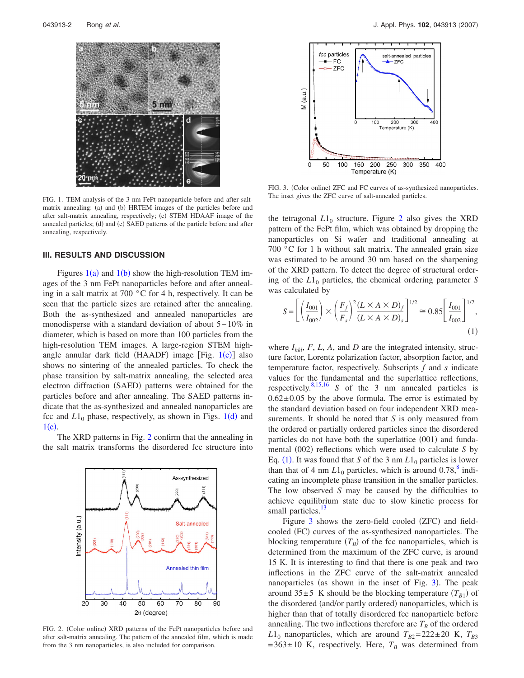<span id="page-3-0"></span>

FIG. 1. TEM analysis of the 3 nm FePt nanoparticle before and after saltmatrix annealing: (a) and (b) HRTEM images of the particles before and after salt-matrix annealing, respectively; (c) STEM HDAAF image of the annealed particles; (d) and (e) SAED patterns of the particle before and after annealing, respectively.

#### **III. RESULTS AND DISCUSSION**

Figures  $1(a)$  $1(a)$  and  $1(b)$  show the high-resolution TEM images of the 3 nm FePt nanoparticles before and after annealing in a salt matrix at 700 °C for 4 h, respectively. It can be seen that the particle sizes are retained after the annealing. Both the as-synthesized and annealed nanoparticles are monodisperse with a standard deviation of about 5− 10*%* in diameter, which is based on more than 100 particles from the high-resolution TEM images. A large-region STEM high-angle annular dark field (HAADF) image [Fig. [1](#page-3-0)(c)] also shows no sintering of the annealed particles. To check the phase transition by salt-matrix annealing, the selected area electron diffraction (SAED) patterns were obtained for the particles before and after annealing. The SAED patterns indicate that the as-synthesized and annealed nanoparticles are fcc and  $L1_0$  $L1_0$  $L1_0$  phase, respectively, as shown in Figs.  $1(d)$  and  $1(e)$  $1(e)$ .

The XRD patterns in Fig. [2](#page-3-1) confirm that the annealing in the salt matrix transforms the disordered fcc structure into

<span id="page-3-1"></span>

FIG. 2. (Color online) XRD patterns of the FePt nanoparticles before and after salt-matrix annealing. The pattern of the annealed film, which is made from the 3 nm nanoparticles, is also included for comparison.

<span id="page-3-3"></span>

FIG. 3. (Color online) ZFC and FC curves of as-synthesized nanoparticles. The inset gives the ZFC curve of salt-annealed particles.

the tetragonal  $L1_0$  structure. Figure [2](#page-3-1) also gives the XRD pattern of the FePt film, which was obtained by dropping the nanoparticles on Si wafer and traditional annealing at 700 °C for 1 h without salt matrix. The annealed grain size was estimated to be around 30 nm based on the sharpening of the XRD pattern. To detect the degree of structural ordering of the  $L1_0$  particles, the chemical ordering parameter *S* was calculated by

<span id="page-3-2"></span>
$$
S = \left[ \left( \frac{I_{001}}{I_{002}} \right) \times \left( \frac{F_f}{F_s} \right)^2 \frac{(L \times A \times D)_f}{(L \times A \times D)_s} \right]^{1/2} \approx 0.85 \left[ \frac{I_{001}}{I_{002}} \right]^{1/2},
$$
\n(1)

where  $I_{hkl}$ ,  $F$ ,  $L$ ,  $A$ , and  $D$  are the integrated intensity, structure factor, Lorentz polarization factor, absorption factor, and temperature factor, respectively. Subscripts *f* and *s* indicate values for the fundamental and the superlattice reflections, respectively[.8,](#page-5-1)[15,](#page-5-8)[16](#page-5-9) *S* of the 3 nm annealed particles is  $0.62 \pm 0.05$  by the above formula. The error is estimated by the standard deviation based on four independent XRD measurements. It should be noted that *S* is only measured from the ordered or partially ordered particles since the disordered particles do not have both the superlattice (001) and fundamental (002) reflections which were used to calculate *S* by Eq. ([1](#page-3-2)). It was found that *S* of the 3 nm  $L1_0$  particles is lower than that of 4 nm  $L1_0$  particles, which is around 0.78, $\frac{8}{3}$  indicating an incomplete phase transition in the smaller particles. The low observed *S* may be caused by the difficulties to achieve equilibrium state due to slow kinetic process for small particles.<sup>13</sup>

Figure [3](#page-3-3) shows the zero-field cooled (ZFC) and fieldcooled (FC) curves of the as-synthesized nanoparticles. The blocking temperature  $(T_B)$  of the fcc nanoparticles, which is determined from the maximum of the ZFC curve, is around 15 K. It is interesting to find that there is one peak and two inflections in the ZFC curve of the salt-matrix annealed nanoparticles (as shown in the inset of Fig. [3](#page-3-3)). The peak around  $35\pm 5$  K should be the blocking temperature  $(T_{B1})$  of the disordered (and/or partly ordered) nanoparticles, which is higher than that of totally disordered fcc nanoparticle before annealing. The two inflections therefore are  $T_B$  of the ordered  $L1_0$  nanoparticles, which are around  $T_{B2}=222\pm 20$  K,  $T_{B3}$  $= 363 \pm 10$  K, respectively. Here,  $T_B$  was determined from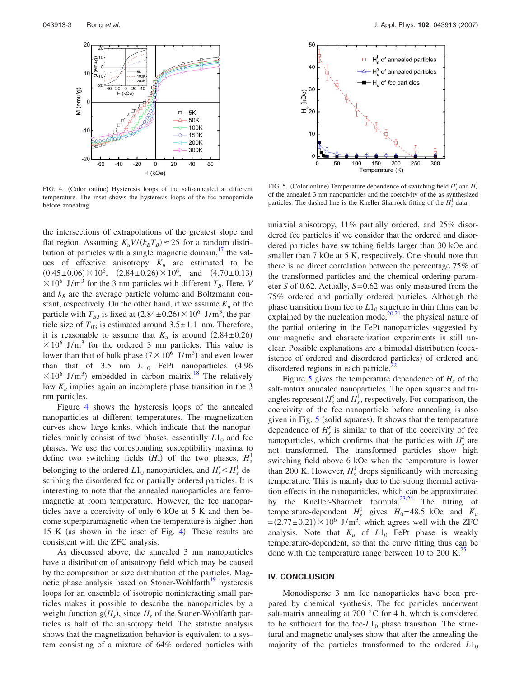<span id="page-4-0"></span>

FIG. 4. (Color online) Hysteresis loops of the salt-annealed at different temperature. The inset shows the hysteresis loops of the fcc nanoparticle before annealing.

the intersections of extrapolations of the greatest slope and flat region. Assuming  $K_u V / (k_B T_B) \approx 25$  for a random distribution of particles with a single magnetic domain,  $\frac{17}{16}$  the values of effective anisotropy  $K_u$  are estimated to be  $(0.45\pm0.06)\times10^6$ ,  $(2.84\pm0.26)\times10^6$ , and  $(4.70\pm0.13)$  $\times$  10<sup>6</sup> J/m<sup>3</sup> for the 3 nm particles with different  $T_B$ . Here, *V* and  $k_B$  are the average particle volume and Boltzmann constant, respectively. On the other hand, if we assume  $K_u$  of the particle with  $T_{B3}$  is fixed at  $(2.84 \pm 0.26) \times 10^6$  J/m<sup>3</sup>, the particle size of  $T_{B3}$  is estimated around  $3.5 \pm 1.1$  nm. Therefore, it is reasonable to assume that  $K_u$  is around  $(2.84 \pm 0.26)$  $\times$  10<sup>6</sup> J/m<sup>3</sup> for the ordered 3 nm particles. This value is lower than that of bulk phase  $(7 \times 10^6 \text{ J/m}^3)$  and even lower than that of  $3.5$  nm  $L1_0$  FePt nanoparticles  $(4.96$  $\times 10^6$  J/m<sup>3</sup>) embedded in carbon matrix.<sup>18</sup> The relatively low *Ku* implies again an incomplete phase transition in the 3 nm particles.

Figure [4](#page-4-0) shows the hysteresis loops of the annealed nanoparticles at different temperatures. The magnetization curves show large kinks, which indicate that the nanoparticles mainly consist of two phases, essentially  $L1_0$  and fcc phases. We use the corresponding susceptibility maxima to define two switching fields  $(H_s)$  of the two phases,  $H_s^1$ belonging to the ordered  $L1_0$  nanoparticles, and  $H_s^s \leq H_s^1$  describing the disordered fcc or partially ordered particles. It is interesting to note that the annealed nanoparticles are ferromagnetic at room temperature. However, the fcc nanoparticles have a coercivity of only 6 kOe at 5 K and then become superparamagnetic when the temperature is higher than  $15$  K (as shown in the inset of Fig. [4](#page-4-0)). These results are consistent with the ZFC analysis.

As discussed above, the annealed 3 nm nanoparticles have a distribution of anisotropy field which may be caused by the composition or size distribution of the particles. Magnetic phase analysis based on Stoner-Wohlfarth<sup>19</sup> hysteresis loops for an ensemble of isotropic noninteracting small particles makes it possible to describe the nanoparticles by a weight function  $g(H_s)$ , since  $H_s$  of the Stoner-Wohlfarth particles is half of the anisotropy field. The statistic analysis shows that the magnetization behavior is equivalent to a system consisting of a mixture of 64*%* ordered particles with

<span id="page-4-1"></span>

FIG. 5. (Color online) Temperature dependence of switching field  $H_s^s$  and  $H_s^1$ of the annealed 3 nm nanoparticles and the coercivity of the as-synthesized particles. The dashed line is the Kneller-Sharrock fitting of the  $H_s^1$  data.

uniaxial anisotropy, 11*%* partially ordered, and 25*%* disordered fcc particles if we consider that the ordered and disordered particles have switching fields larger than 30 kOe and smaller than 7 kOe at 5 K, respectively. One should note that there is no direct correlation between the percentage 75*%* of the transformed particles and the chemical ordering parameter *S* of 0.62. Actually, *S*= 0.62 was only measured from the 75*%* ordered and partially ordered particles. Although the phase transition from fcc to  $L1_0$  structure in thin films can be explained by the nucleation mode,  $20,21$  $20,21$  the physical nature of the partial ordering in the FePt nanoparticles suggested by our magnetic and characterization experiments is still unclear. Possible explanations are a bimodal distribution (coexistence of ordered and disordered particles) of ordered and disordered regions in each particle.<sup>2</sup>

Figure  $\overline{5}$  $\overline{5}$  $\overline{5}$  gives the temperature dependence of  $H_s$  of the salt-matrix annealed nanoparticles. The open squares and triangles represent  $H_s^s$  and  $H_s^1$ , respectively. For comparison, the coercivity of the fcc nanoparticle before annealing is also given in Fig. [5](#page-4-1) (solid squares). It shows that the temperature dependence of  $H_s^s$  is similar to that of the coercivity of fcc nanoparticles, which confirms that the particles with  $H_s^s$  are not transformed. The transformed particles show high switching field above 6 kOe when the temperature is lower than 200 K. However,  $H_s^1$  drops significantly with increasing temperature. This is mainly due to the strong thermal activation effects in the nanoparticles, which can be approximated by the Kneller-Sharrock formula.<sup>23[,24](#page-5-17)</sup> The fitting of temperature-dependent  $H_s^1$  gives  $H_0 = 48.5$  kOe and  $K_u$  $=(2.77\pm0.21)\times10^6$  J/m<sup>3</sup>, which agrees well with the ZFC analysis. Note that  $K_u$  of  $L1_0$  FePt phase is weakly temperature-dependent, so that the curve fitting thus can be done with the temperature range between 10 to 200 K.<sup>25</sup>

#### **IV. CONCLUSION**

Monodisperse 3 nm fcc nanoparticles have been prepared by chemical synthesis. The fcc particles underwent salt-matrix annealing at 700 °C for 4 h, which is considered to be sufficient for the fcc- $L1_0$  phase transition. The structural and magnetic analyses show that after the annealing the majority of the particles transformed to the ordered  $L1_0$